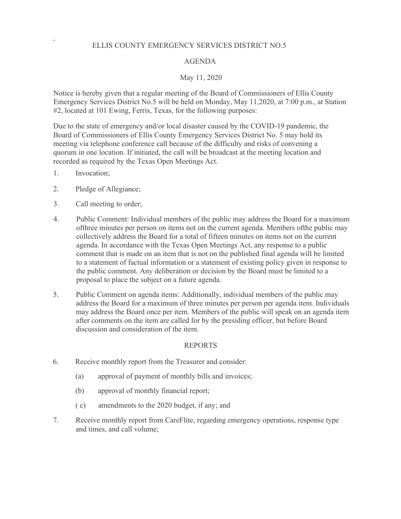## ELLIS COUNTY EMERGENCY SERVICES DISTRICT NO.5

## AGENDA

# May 11, 2020

Notice is hereby given that a regular meeting of the Board of Commissioners of Ellis County Emergency Services District No.5 will be held on Monday, May 11,2020, at 7:00 p.m., at Station #2, located at 101 Ewing, Ferris, Texas, for the following purposes:

Due to the state of emergency and/or local disaster caused by the COVID-19 pandemic, the Board of Commissioners of Ellis County Emergency Services District No. 5 may hold its meeting via telephone conference call because of the difficulty and risks of convening a quorum in one location. If initiated, the call will be broadcast at the meeting location and recorded as required by the Texas Open Meetings Act.

1. Invocation;

10.

- 2. Pledge of Allegiance;
- 3. Call meeting to order;
- 4. Public Comment: Individual members of the public may address the Board for a maximum ofthree minutes per person on items not on the current agenda. Members ofthe public may collectively address the Board for a total of fifteen minutes on items not on the current agenda. In accordance with the Texas Open Meetings Act, any response to a public comment that is made on an item that is not on the published final agenda will be limited to a statement of factual information or a statement of existing policy given in response to the public comment. Any deliberation or decision by the Board must be limited to a proposal to place the subject on a future agenda.
- 5. Public Comment on agenda items: Additionally, individual members of the public may address the Board for a maximum of three minutes per person per agenda item. Individuals may address the Board once per item. Members of the public will speak on an agenda item after comments on the item are called for by the presiding officer, but before Board discussion and consideration of the item.

## REPORTS

- 6. Receive monthly report from the Treasurer and consider:
	- (a) approval of payment of monthly bills and invoices;
	- (b) approval of monthly financial report;
	- ( c) amendments to the 2020 budget, if any; and
- 7. Receive monthly report from CareFlite, regarding emergency operations, response type and times, and call volume;